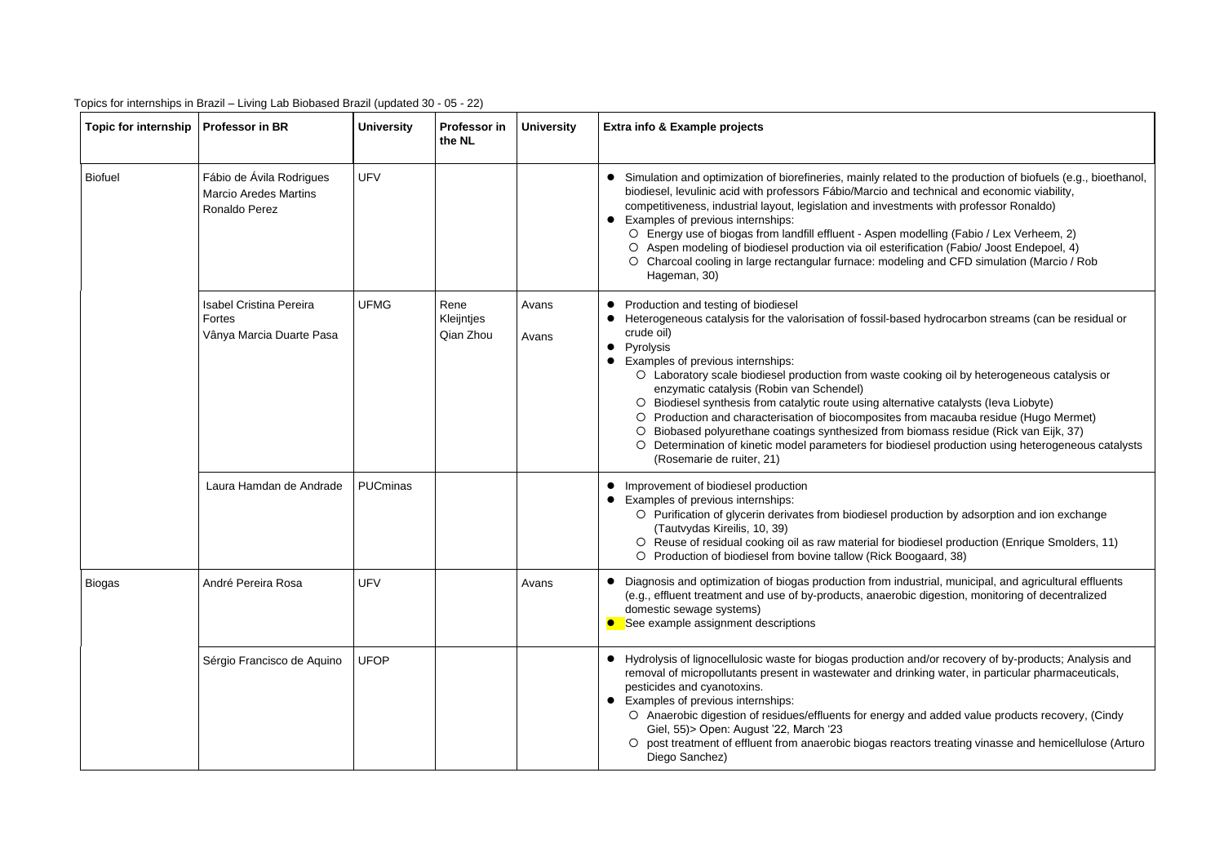| Topic for internship   Professor in BR |                                                                                         | <b>University</b> | Professor in<br>the NL          | <b>University</b>                                                                                                                                                                                                                                                                                                                                                                                                                                                                                                                                                                                                                                                             | Extra info & Example projects                                                                                                                                                                                                                                                                                                                                                                                                                                                                                                                                                                                                                                                                                                                                                                        |  |  |
|----------------------------------------|-----------------------------------------------------------------------------------------|-------------------|---------------------------------|-------------------------------------------------------------------------------------------------------------------------------------------------------------------------------------------------------------------------------------------------------------------------------------------------------------------------------------------------------------------------------------------------------------------------------------------------------------------------------------------------------------------------------------------------------------------------------------------------------------------------------------------------------------------------------|------------------------------------------------------------------------------------------------------------------------------------------------------------------------------------------------------------------------------------------------------------------------------------------------------------------------------------------------------------------------------------------------------------------------------------------------------------------------------------------------------------------------------------------------------------------------------------------------------------------------------------------------------------------------------------------------------------------------------------------------------------------------------------------------------|--|--|
| <b>Biofuel</b>                         | Fábio de Ávila Rodrigues<br><b>UFV</b><br><b>Marcio Aredes Martins</b><br>Ronaldo Perez |                   |                                 | Simulation and optimization of biorefineries, mainly related to the production of biofuels (e.g., bioethanol,<br>$\bullet$<br>biodiesel, levulinic acid with professors Fábio/Marcio and technical and economic viability,<br>competitiveness, industrial layout, legislation and investments with professor Ronaldo)<br>Examples of previous internships:<br>$\bullet$<br>O Energy use of biogas from landfill effluent - Aspen modelling (Fabio / Lex Verheem, 2)<br>Aspen modeling of biodiesel production via oil esterification (Fabio/ Joost Endepoel, 4)<br>O Charcoal cooling in large rectangular furnace: modeling and CFD simulation (Marcio / Rob<br>Hageman, 30) |                                                                                                                                                                                                                                                                                                                                                                                                                                                                                                                                                                                                                                                                                                                                                                                                      |  |  |
|                                        | <b>Isabel Cristina Pereira</b><br>Fortes<br>Vânya Marcia Duarte Pasa                    | <b>UFMG</b>       | Rene<br>Kleijntjes<br>Qian Zhou | Avans<br>Avans                                                                                                                                                                                                                                                                                                                                                                                                                                                                                                                                                                                                                                                                | • Production and testing of biodiesel<br>Heterogeneous catalysis for the valorisation of fossil-based hydrocarbon streams (can be residual or<br>crude oil)<br>Pyrolysis<br>$\bullet$<br>Examples of previous internships:<br>O Laboratory scale biodiesel production from waste cooking oil by heterogeneous catalysis or<br>enzymatic catalysis (Robin van Schendel)<br>O Biodiesel synthesis from catalytic route using alternative catalysts (leva Liobyte)<br>Production and characterisation of biocomposites from macauba residue (Hugo Mermet)<br>Biobased polyurethane coatings synthesized from biomass residue (Rick van Eijk, 37)<br>$\circ$<br>Determination of kinetic model parameters for biodiesel production using heterogeneous catalysts<br>$\circ$<br>(Rosemarie de ruiter, 21) |  |  |
|                                        | Laura Hamdan de Andrade                                                                 | PUCminas          |                                 |                                                                                                                                                                                                                                                                                                                                                                                                                                                                                                                                                                                                                                                                               | • Improvement of biodiesel production<br>• Examples of previous internships:<br>O Purification of glycerin derivates from biodiesel production by adsorption and ion exchange<br>(Tautvydas Kireilis, 10, 39)<br>O Reuse of residual cooking oil as raw material for biodiesel production (Enrique Smolders, 11)<br>O Production of biodiesel from bovine tallow (Rick Boogaard, 38)                                                                                                                                                                                                                                                                                                                                                                                                                 |  |  |
| <b>Biogas</b>                          | André Pereira Rosa                                                                      | <b>UFV</b>        |                                 | Avans                                                                                                                                                                                                                                                                                                                                                                                                                                                                                                                                                                                                                                                                         | Diagnosis and optimization of biogas production from industrial, municipal, and agricultural effluents<br>(e.g., effluent treatment and use of by-products, anaerobic digestion, monitoring of decentralized<br>domestic sewage systems)<br>See example assignment descriptions                                                                                                                                                                                                                                                                                                                                                                                                                                                                                                                      |  |  |
|                                        | Sérgio Francisco de Aquino                                                              | <b>UFOP</b>       |                                 |                                                                                                                                                                                                                                                                                                                                                                                                                                                                                                                                                                                                                                                                               | • Hydrolysis of lignocellulosic waste for biogas production and/or recovery of by-products; Analysis and<br>removal of micropollutants present in wastewater and drinking water, in particular pharmaceuticals,<br>pesticides and cyanotoxins.<br>Examples of previous internships:<br>$\bullet$<br>O Anaerobic digestion of residues/effluents for energy and added value products recovery, (Cindy<br>Giel, 55) > Open: August '22, March '23<br>O post treatment of effluent from anaerobic biogas reactors treating vinasse and hemicellulose (Arturo<br>Diego Sanchez)                                                                                                                                                                                                                          |  |  |

| to the production of biofuels (e.g., bioethanol,<br>chnical and economic viability,<br>its with professor Ronaldo)                                |
|---------------------------------------------------------------------------------------------------------------------------------------------------|
| elling (Fabio / Lex Verheem, 2)<br>ation (Fabio/ Joost Endepoel, 4)<br>and CFD simulation (Marcio / Rob                                           |
| hydrocarbon streams (can be residual or                                                                                                           |
| king oil by heterogeneous catalysis or                                                                                                            |
| ve catalysts (leva Liobyte)<br>n macauba residue (Hugo Mermet)<br>mass residue (Rick van Eijk, 37)<br>el production using heterogeneous catalysts |
|                                                                                                                                                   |
| ction by adsorption and ion exchange                                                                                                              |
| esel production (Enrique Smolders, 11)<br>aard, 38)                                                                                               |
| trial, municipal, and agricultural effluents<br>digestion, monitoring of decentralized                                                            |
| d/or recovery of by-products; Analysis and<br>ng water, in particular pharmaceuticals,                                                            |
| d added value products recovery, (Cindy                                                                                                           |
| rs treating vinasse and hemicellulose (Arturo                                                                                                     |
|                                                                                                                                                   |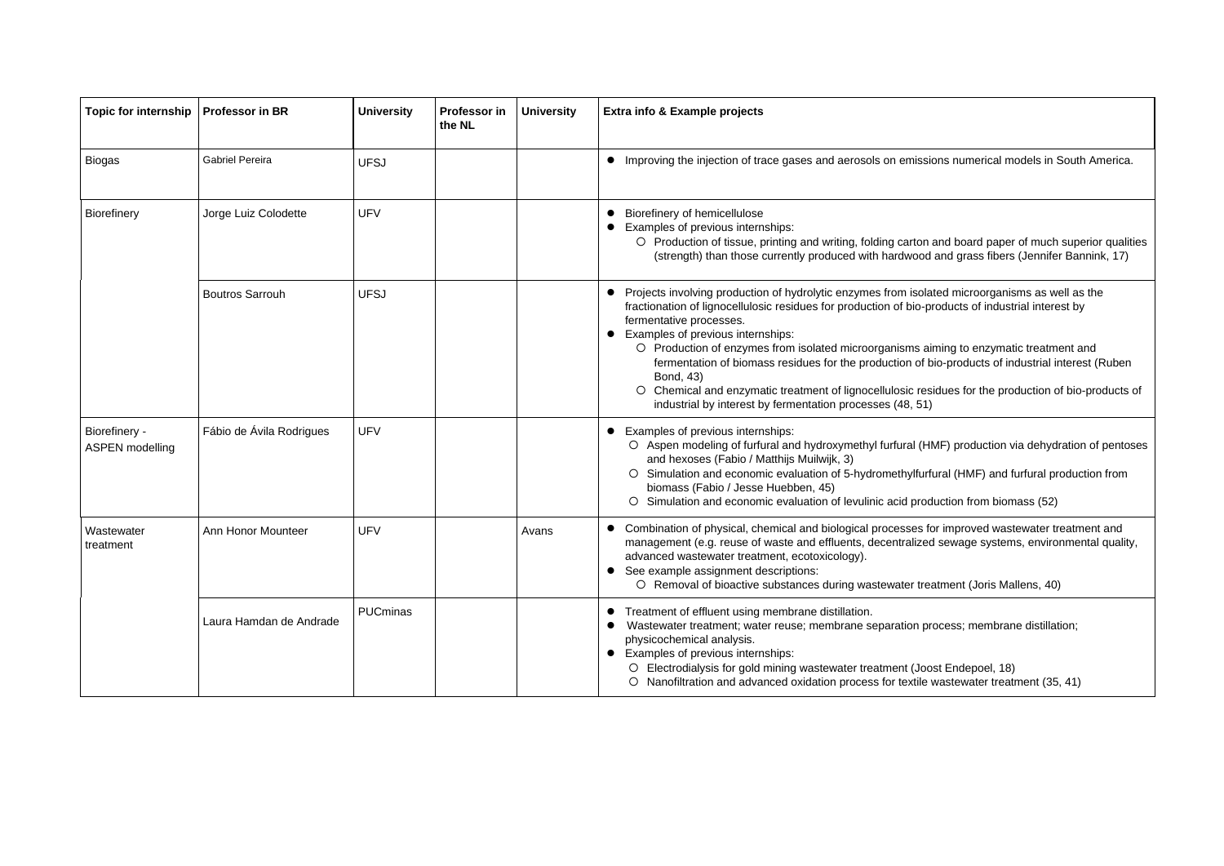| <b>Topic for internship</b>             | <b>Professor in BR</b>    | <b>University</b> | <b>Professor in</b><br>the NL | <b>University</b> | <b>Extra info &amp; Example projects</b>                                                                                                                                                                                                                                                                                                                                                                                                                          |
|-----------------------------------------|---------------------------|-------------------|-------------------------------|-------------------|-------------------------------------------------------------------------------------------------------------------------------------------------------------------------------------------------------------------------------------------------------------------------------------------------------------------------------------------------------------------------------------------------------------------------------------------------------------------|
| <b>Biogas</b>                           | <b>Gabriel Pereira</b>    | <b>UFSJ</b>       |                               |                   | Improving the injection of trace gases and aerosols on emissi                                                                                                                                                                                                                                                                                                                                                                                                     |
| Biorefinery                             | Jorge Luiz Colodette      | <b>UFV</b>        |                               |                   | Biorefinery of hemicellulose<br>Examples of previous internships:<br>O Production of tissue, printing and writing, folding carton<br>(strength) than those currently produced with hardwood                                                                                                                                                                                                                                                                       |
|                                         | <b>Boutros Sarrouh</b>    | <b>UFSJ</b>       |                               |                   | Projects involving production of hydrolytic enzymes from isola<br>fractionation of lignocellulosic residues for production of bio-p<br>fermentative processes.<br>Examples of previous internships:<br>O Production of enzymes from isolated microorganisms ai<br>fermentation of biomass residues for the production of b<br>Bond, 43)<br>O Chemical and enzymatic treatment of lignocellulosic res<br>industrial by interest by fermentation processes (48, 51) |
| Biorefinery -<br><b>ASPEN</b> modelling | Fábio de Ávila Rodrigues  | <b>UFV</b>        |                               |                   | Examples of previous internships:<br>O Aspen modeling of furfural and hydroxymethyl furfural (H)<br>and hexoses (Fabio / Matthijs Muilwijk, 3)<br>Simulation and economic evaluation of 5-hydromethylfurf<br>biomass (Fabio / Jesse Huebben, 45)<br>Simulation and economic evaluation of levulinic acid proc                                                                                                                                                     |
| Wastewater<br>treatment                 | <b>Ann Honor Mounteer</b> | <b>UFV</b>        |                               | Avans             | Combination of physical, chemical and biological processes fo<br>$\bullet$<br>management (e.g. reuse of waste and effluents, decentralized<br>advanced wastewater treatment, ecotoxicology).<br>See example assignment descriptions:<br>O Removal of bioactive substances during wastewater trea                                                                                                                                                                  |
|                                         | Laura Hamdan de Andrade   | <b>PUCminas</b>   |                               |                   | Treatment of effluent using membrane distillation.<br>$\bullet$<br>Wastewater treatment; water reuse; membrane separation pr<br>physicochemical analysis.<br>Examples of previous internships:<br>Electrodialysis for gold mining wastewater treatment (Joc<br>O Nanofiltration and advanced oxidation process for textile                                                                                                                                        |

ssions numerical models in South America.

on and board paper of much superior qualities od and grass fibers (Jennifer Bannink, 17)

blated microorganisms as well as the fraction of industrial interest by

 $\alpha$  aiming to enzymatic treatment and fermintation of industrial interest (Ruben

residues for the production of bio-products of

(HMF) production via dehydration of pentoses

urfural (HMF) and furfural production from

roduction from biomass (52)

s for improved wastewater treatment and zed sewage systems, environmental quality,

reatment (Joris Mallens, 40)

process; membrane distillation;

Joost Endepoel, 18) le wastewater treatment (35, 41)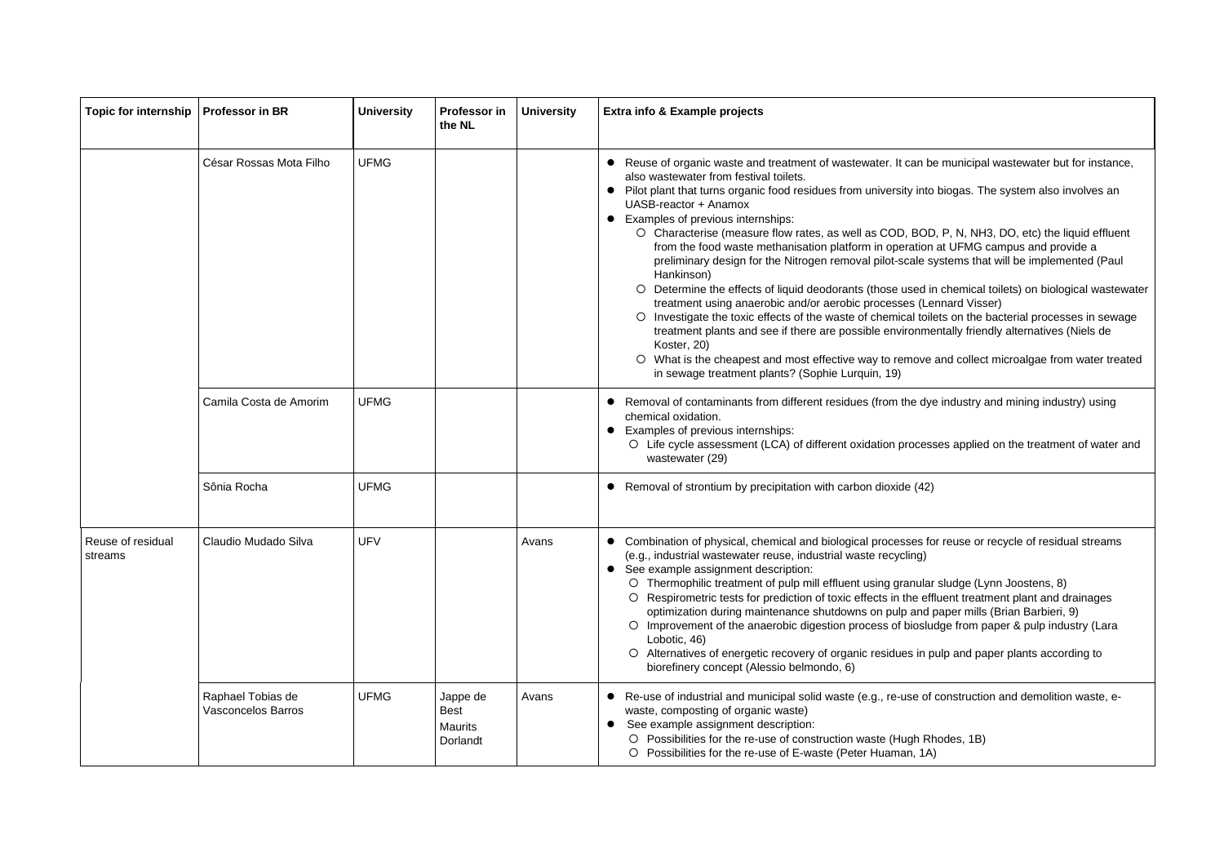| <b>Topic for internship</b>  | <b>Professor in BR</b>                  | <b>University</b> | Professor in<br>the NL                                | <b>University</b> | Extra info & Example projects                                                                                                                                                                                                                                                                                                                                                                                                                                                                                                                                                                                                                                                                                                                                                                                                                                                                                                                                                                                                                                                                                                                                                                             |
|------------------------------|-----------------------------------------|-------------------|-------------------------------------------------------|-------------------|-----------------------------------------------------------------------------------------------------------------------------------------------------------------------------------------------------------------------------------------------------------------------------------------------------------------------------------------------------------------------------------------------------------------------------------------------------------------------------------------------------------------------------------------------------------------------------------------------------------------------------------------------------------------------------------------------------------------------------------------------------------------------------------------------------------------------------------------------------------------------------------------------------------------------------------------------------------------------------------------------------------------------------------------------------------------------------------------------------------------------------------------------------------------------------------------------------------|
|                              | César Rossas Mota Filho                 | <b>UFMG</b>       |                                                       |                   | Reuse of organic waste and treatment of wastewater. It can be municipal wastewater but for instance,<br>also wastewater from festival toilets.<br>• Pilot plant that turns organic food residues from university into biogas. The system also involves an<br>UASB-reactor + Anamox<br>• Examples of previous internships:<br>O Characterise (measure flow rates, as well as COD, BOD, P, N, NH3, DO, etc) the liquid effluent<br>from the food waste methanisation platform in operation at UFMG campus and provide a<br>preliminary design for the Nitrogen removal pilot-scale systems that will be implemented (Paul<br>Hankinson)<br>O Determine the effects of liquid deodorants (those used in chemical toilets) on biological wastewater<br>treatment using anaerobic and/or aerobic processes (Lennard Visser)<br>O Investigate the toxic effects of the waste of chemical toilets on the bacterial processes in sewage<br>treatment plants and see if there are possible environmentally friendly alternatives (Niels de<br>Koster, 20)<br>O What is the cheapest and most effective way to remove and collect microalgae from water treated<br>in sewage treatment plants? (Sophie Lurquin, 19) |
|                              | Camila Costa de Amorim                  | <b>UFMG</b>       |                                                       |                   | Removal of contaminants from different residues (from the dye industry and mining industry) using<br>chemical oxidation.<br>Examples of previous internships:<br>O Life cycle assessment (LCA) of different oxidation processes applied on the treatment of water and<br>wastewater (29)                                                                                                                                                                                                                                                                                                                                                                                                                                                                                                                                                                                                                                                                                                                                                                                                                                                                                                                  |
|                              | Sônia Rocha                             | <b>UFMG</b>       |                                                       |                   | Removal of strontium by precipitation with carbon dioxide (42)<br>$\bullet$                                                                                                                                                                                                                                                                                                                                                                                                                                                                                                                                                                                                                                                                                                                                                                                                                                                                                                                                                                                                                                                                                                                               |
| Reuse of residual<br>streams | Claudio Mudado Silva                    | <b>UFV</b>        |                                                       | Avans             | • Combination of physical, chemical and biological processes for reuse or recycle of residual streams<br>(e.g., industrial wastewater reuse, industrial waste recycling)<br>See example assignment description:<br>O Thermophilic treatment of pulp mill effluent using granular sludge (Lynn Joostens, 8)<br>O Respirometric tests for prediction of toxic effects in the effluent treatment plant and drainages<br>optimization during maintenance shutdowns on pulp and paper mills (Brian Barbieri, 9)<br>O Improvement of the anaerobic digestion process of biosludge from paper & pulp industry (Lara<br>Lobotic, 46)<br>O Alternatives of energetic recovery of organic residues in pulp and paper plants according to<br>biorefinery concept (Alessio belmondo, 6)                                                                                                                                                                                                                                                                                                                                                                                                                               |
|                              | Raphael Tobias de<br>Vasconcelos Barros | <b>UFMG</b>       | Jappe de<br><b>Best</b><br><b>Maurits</b><br>Dorlandt | Avans             | • Re-use of industrial and municipal solid waste (e.g., re-use of construction and demolition waste, e-<br>waste, composting of organic waste)<br>See example assignment description:<br>O Possibilities for the re-use of construction waste (Hugh Rhodes, 1B)<br>O Possibilities for the re-use of E-waste (Peter Huaman, 1A)                                                                                                                                                                                                                                                                                                                                                                                                                                                                                                                                                                                                                                                                                                                                                                                                                                                                           |

| be municipal wastewater but for instance,                                                                                                                     |
|---------------------------------------------------------------------------------------------------------------------------------------------------------------|
| to biogas. The system also involves an                                                                                                                        |
| DD, P, N, NH3, DO, etc) the liquid effluent<br>on at UFMG campus and provide a<br>systems that will be implemented (Paul                                      |
| I in chemical toilets) on biological wastewater<br>Lennard Visser)<br>bilets on the bacterial processes in sewage<br>nentally friendly alternatives (Niels de |
| e and collect microalgae from water treated                                                                                                                   |
| lye industry and mining industry) using                                                                                                                       |
| esses applied on the treatment of water and                                                                                                                   |
| 2)                                                                                                                                                            |
| for reuse or recycle of residual streams                                                                                                                      |
| ar sludge (Lynn Joostens, 8)<br>effluent treatment plant and drainages<br>d paper mills (Brian Barbieri, 9)<br>ludge from paper & pulp industry (Lara         |
| pulp and paper plants according to                                                                                                                            |
| of construction and demolition waste, e-                                                                                                                      |
| Rhodes, 1B)<br>A)                                                                                                                                             |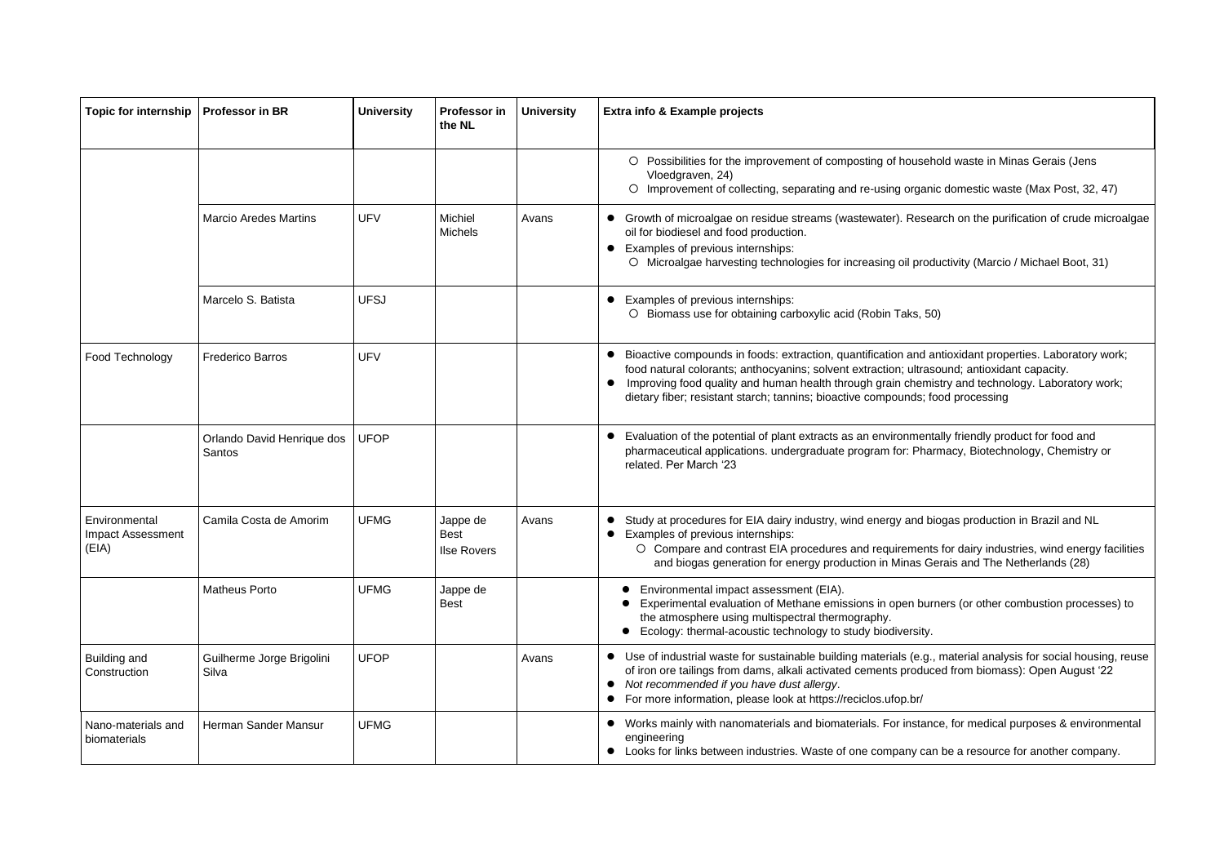| <b>Topic for internship</b>                 | <b>Professor in BR</b>               | <b>University</b> | Professor in<br>the NL                        | <b>University</b> | Extra info & Example projects                                                                                                                                                                                                                                                                                                                                                                           |
|---------------------------------------------|--------------------------------------|-------------------|-----------------------------------------------|-------------------|---------------------------------------------------------------------------------------------------------------------------------------------------------------------------------------------------------------------------------------------------------------------------------------------------------------------------------------------------------------------------------------------------------|
|                                             |                                      |                   |                                               |                   | O Possibilities for the improvement of composting of household waste in Minas Gerais (Jens<br>Vloedgraven, 24)<br>O Improvement of collecting, separating and re-using organic domestic waste (Max Post, 32, 47)                                                                                                                                                                                        |
|                                             | <b>Marcio Aredes Martins</b>         | <b>UFV</b>        | Michiel<br><b>Michels</b>                     | Avans             | • Growth of microalgae on residue streams (wastewater). Research on the purification of crude microalgae<br>oil for biodiesel and food production.<br>Examples of previous internships:<br>$\bullet$<br>O Microalgae harvesting technologies for increasing oil productivity (Marcio / Michael Boot, 31)                                                                                                |
|                                             | Marcelo S. Batista                   | <b>UFSJ</b>       |                                               |                   | Examples of previous internships:<br>O Biomass use for obtaining carboxylic acid (Robin Taks, 50)                                                                                                                                                                                                                                                                                                       |
| Food Technology                             | <b>Frederico Barros</b>              | <b>UFV</b>        |                                               |                   | Bioactive compounds in foods: extraction, quantification and antioxidant properties. Laboratory work;<br>$\bullet$<br>food natural colorants; anthocyanins; solvent extraction; ultrasound; antioxidant capacity.<br>Improving food quality and human health through grain chemistry and technology. Laboratory work;<br>dietary fiber; resistant starch; tannins; bioactive compounds; food processing |
|                                             | Orlando David Henrique dos<br>Santos | <b>UFOP</b>       |                                               |                   | • Evaluation of the potential of plant extracts as an environmentally friendly product for food and<br>pharmaceutical applications. undergraduate program for: Pharmacy, Biotechnology, Chemistry or<br>related. Per March '23                                                                                                                                                                          |
| Environmental<br>Impact Assessment<br>(EIA) | Camila Costa de Amorim               | <b>UFMG</b>       | Jappe de<br><b>Best</b><br><b>Ilse Rovers</b> | Avans             | Study at procedures for EIA dairy industry, wind energy and biogas production in Brazil and NL<br>Examples of previous internships:<br>O Compare and contrast EIA procedures and requirements for dairy industries, wind energy facilities<br>and biogas generation for energy production in Minas Gerais and The Netherlands (28)                                                                      |
|                                             | <b>Matheus Porto</b>                 | <b>UFMG</b>       | Jappe de<br><b>Best</b>                       |                   | Environmental impact assessment (EIA).<br>Experimental evaluation of Methane emissions in open burners (or other combustion processes) to<br>the atmosphere using multispectral thermography.<br>Ecology: thermal-acoustic technology to study biodiversity.                                                                                                                                            |
| Building and<br>Construction                | Guilherme Jorge Brigolini<br>Silva   | <b>UFOP</b>       |                                               | Avans             | • Use of industrial waste for sustainable building materials (e.g., material analysis for social housing, reuse<br>of iron ore tailings from dams, alkali activated cements produced from biomass): Open August '22<br>Not recommended if you have dust allergy.<br>$\bullet$<br>• For more information, please look at https://reciclos.ufop.br/                                                       |
| Nano-materials and<br>biomaterials          | Herman Sander Mansur                 | <b>UFMG</b>       |                                               |                   | • Works mainly with nanomaterials and biomaterials. For instance, for medical purposes & environmental<br>engineering<br>• Looks for links between industries. Waste of one company can be a resource for another company.                                                                                                                                                                              |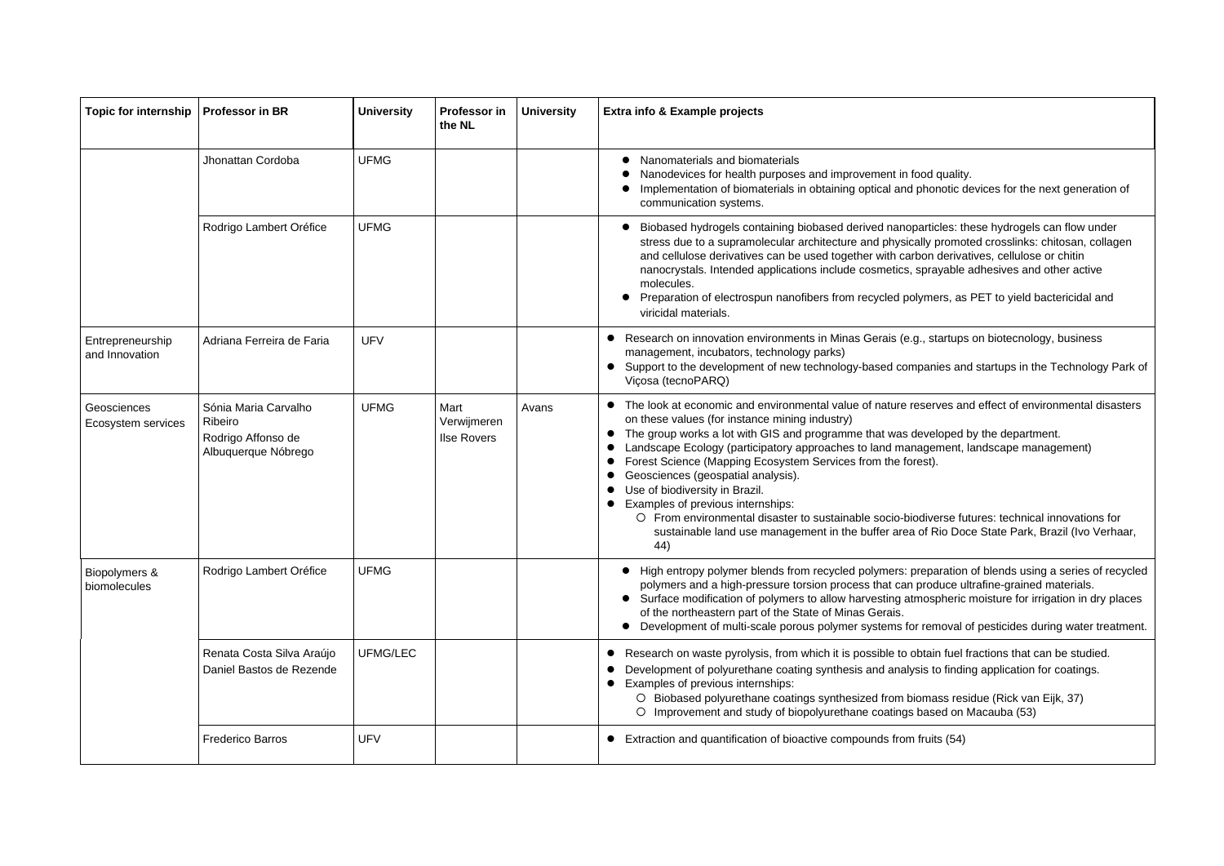| <b>Topic for internship</b>        | <b>Professor in BR</b>                                                       | <b>University</b> | <b>Professor in</b><br>the NL             | <b>University</b> | Extra info & Example projects                                                                                                                                                                                                                                                                                                                                                                                                                                                                                                                                                                        |
|------------------------------------|------------------------------------------------------------------------------|-------------------|-------------------------------------------|-------------------|------------------------------------------------------------------------------------------------------------------------------------------------------------------------------------------------------------------------------------------------------------------------------------------------------------------------------------------------------------------------------------------------------------------------------------------------------------------------------------------------------------------------------------------------------------------------------------------------------|
|                                    | Jhonattan Cordoba                                                            | <b>UFMG</b>       |                                           |                   | Nanomaterials and biomaterials<br>Nanodevices for health purposes and improvement in food quality<br>Implementation of biomaterials in obtaining optical and phonotic or<br>communication systems.                                                                                                                                                                                                                                                                                                                                                                                                   |
|                                    | Rodrigo Lambert Oréfice                                                      | <b>UFMG</b>       |                                           |                   | Biobased hydrogels containing biobased derived nanoparticles: t<br>stress due to a supramolecular architecture and physically promo<br>and cellulose derivatives can be used together with carbon deriva<br>nanocrystals. Intended applications include cosmetics, sprayable<br>molecules.<br>Preparation of electrospun nanofibers from recycled polymers, as<br>viricidal materials.                                                                                                                                                                                                               |
| Entrepreneurship<br>and Innovation | Adriana Ferreira de Faria                                                    | <b>UFV</b>        |                                           |                   | Research on innovation environments in Minas Gerais (e.g., startups<br>management, incubators, technology parks)<br>Support to the development of new technology-based companies are<br>Viçosa (tecnoPARQ)                                                                                                                                                                                                                                                                                                                                                                                           |
| Geosciences<br>Ecosystem services  | Sónia Maria Carvalho<br>Ribeiro<br>Rodrigo Affonso de<br>Albuquerque Nóbrego | <b>UFMG</b>       | Mart<br>Verwijmeren<br><b>Ilse Rovers</b> | Avans             | The look at economic and environmental value of nature reserves a<br>on these values (for instance mining industry)<br>The group works a lot with GIS and programme that was developed<br>$\bullet$<br>Landscape Ecology (participatory approaches to land management,<br>Forest Science (Mapping Ecosystem Services from the forest).<br>Geosciences (geospatial analysis).<br>Use of biodiversity in Brazil.<br>Examples of previous internships:<br>O From environmental disaster to sustainable socio-biodiverse function<br>sustainable land use management in the buffer area of Rio Do<br>44) |
| Biopolymers &<br>biomolecules      | Rodrigo Lambert Oréfice                                                      | <b>UFMG</b>       |                                           |                   | High entropy polymer blends from recycled polymers: preparatior<br>polymers and a high-pressure torsion process that can produce u<br>Surface modification of polymers to allow harvesting atmospheric<br>of the northeastern part of the State of Minas Gerais.<br>Development of multi-scale porous polymer systems for removal                                                                                                                                                                                                                                                                    |
|                                    | Renata Costa Silva Araújo<br>Daniel Bastos de Rezende                        | <b>UFMG/LEC</b>   |                                           |                   | Research on waste pyrolysis, from which it is possible to obtain fuel<br>Development of polyurethane coating synthesis and analysis to findi<br>Examples of previous internships:<br>O Biobased polyurethane coatings synthesized from biomass res<br>O Improvement and study of biopolyurethane coatings based on                                                                                                                                                                                                                                                                                   |
|                                    | <b>Frederico Barros</b>                                                      | <b>UFV</b>        |                                           |                   | Extraction and quantification of bioactive compounds from fruits (54)                                                                                                                                                                                                                                                                                                                                                                                                                                                                                                                                |

ood quality. phonotic devices for the next generation of

articles: these hydrogels can flow under ally promoted crosslinks: chitosan, collagen oon derivatives, cellulose or chitin sprayable adhesives and other active

lymers, as PET to yield bactericidal and

., startups on biotecnology, business

panies and startups in the Technology Park of

eserves and effect of environmental disasters

leveloped by the department. agement, landscape management)

diverse futures: technical innovations for of Rio Doce State Park, Brazil (Ivo Verhaar,

reparation of blends using a series of recycled produce ultrafine-grained materials. mospheric moisture for irrigation in dry places

removal of pesticides during water treatment.

btain fuel fractions that can be studied. sis to finding application for coatings.

omass residue (Rick van Eijk, 37) based on Macauba (53)